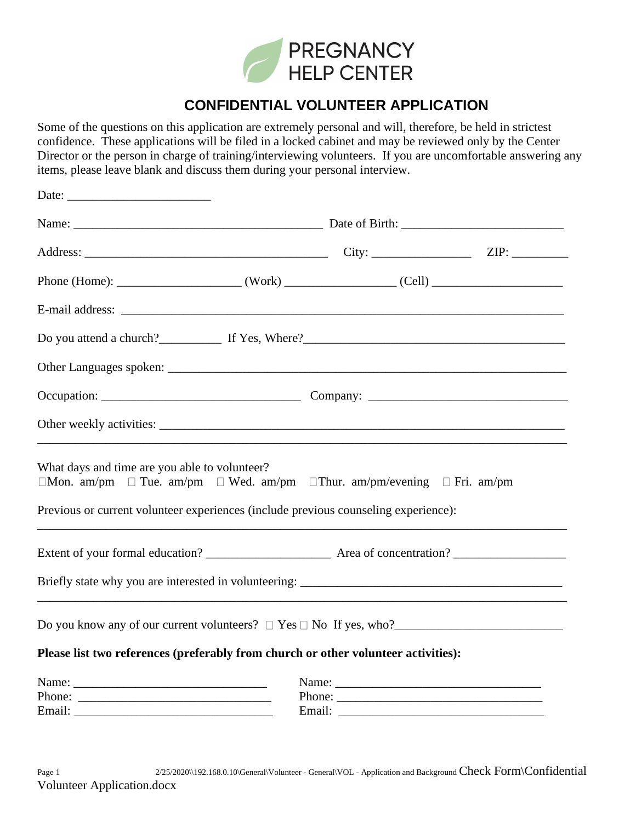

## **CONFIDENTIAL VOLUNTEER APPLICATION**

Some of the questions on this application are extremely personal and will, therefore, be held in strictest confidence. These applications will be filed in a locked cabinet and may be reviewed only by the Center Director or the person in charge of training/interviewing volunteers. If you are uncomfortable answering any items, please leave blank and discuss them during your personal interview.

| What days and time are you able to volunteer?<br>$\Box$ Mon. am/pm $\Box$ Tue. am/pm $\Box$ Wed. am/pm $\Box$ Thur. am/pm/evening $\Box$ Fri. am/pm |  |  |        |  |
|-----------------------------------------------------------------------------------------------------------------------------------------------------|--|--|--------|--|
| Previous or current volunteer experiences (include previous counseling experience):                                                                 |  |  |        |  |
|                                                                                                                                                     |  |  |        |  |
| Briefly state why you are interested in volunteering: ___________________________                                                                   |  |  |        |  |
|                                                                                                                                                     |  |  |        |  |
| Please list two references (preferably from church or other volunteer activities):                                                                  |  |  |        |  |
|                                                                                                                                                     |  |  |        |  |
|                                                                                                                                                     |  |  | Phone: |  |
|                                                                                                                                                     |  |  |        |  |